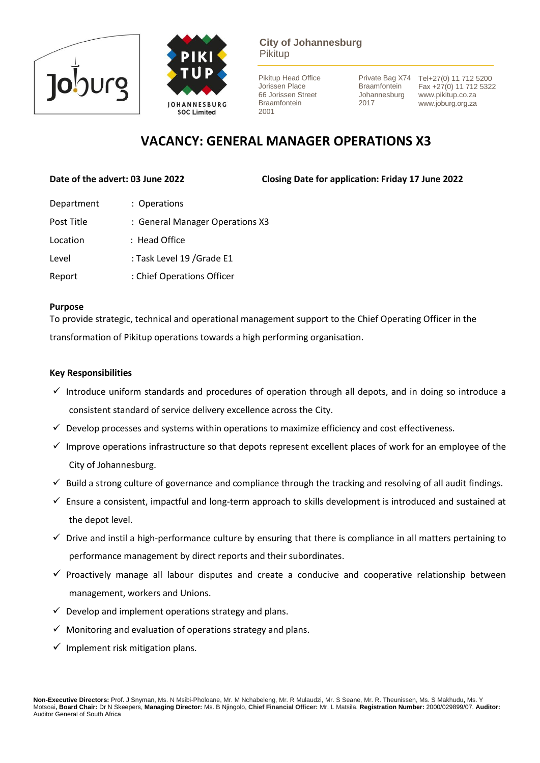



**City of Johannesburg** Pikitup

Pikitup Head Office Jorissen Place 66 Jorissen Street Braamfontein 2001

**Braamfontein** Johannesburg 2017

Private Bag X74 Tel+27(0) 11 712 5200 Fax +27(0) 11 712 5322 www.pikitup.co.za www.joburg.org.za

# **VACANCY: GENERAL MANAGER OPERATIONS X3**

**Date of the advert: 03 June 2022 Closing Date for application: Friday 17 June 2022** 

| Department | : Operations                    |
|------------|---------------------------------|
| Post Title | : General Manager Operations X3 |
| Location   | : Head Office                   |
| Level      | : Task Level 19 / Grade E1      |
| Report     | : Chief Operations Officer      |
|            |                                 |

#### **Purpose**

To provide strategic, technical and operational management support to the Chief Operating Officer in the transformation of Pikitup operations towards a high performing organisation.

# **Key Responsibilities**

- $\checkmark$  Introduce uniform standards and procedures of operation through all depots, and in doing so introduce a consistent standard of service delivery excellence across the City.
- $\checkmark$  Develop processes and systems within operations to maximize efficiency and cost effectiveness.
- $\checkmark$  Improve operations infrastructure so that depots represent excellent places of work for an employee of the City of Johannesburg.
- $\checkmark$  Build a strong culture of governance and compliance through the tracking and resolving of all audit findings.
- ✓ Ensure a consistent, impactful and long-term approach to skills development is introduced and sustained at the depot level.
- $\checkmark$  Drive and instil a high-performance culture by ensuring that there is compliance in all matters pertaining to performance management by direct reports and their subordinates.
- $\checkmark$  Proactively manage all labour disputes and create a conducive and cooperative relationship between management, workers and Unions.
- $\checkmark$  Develop and implement operations strategy and plans.
- $\checkmark$  Monitoring and evaluation of operations strategy and plans.
- $\checkmark$  Implement risk mitigation plans.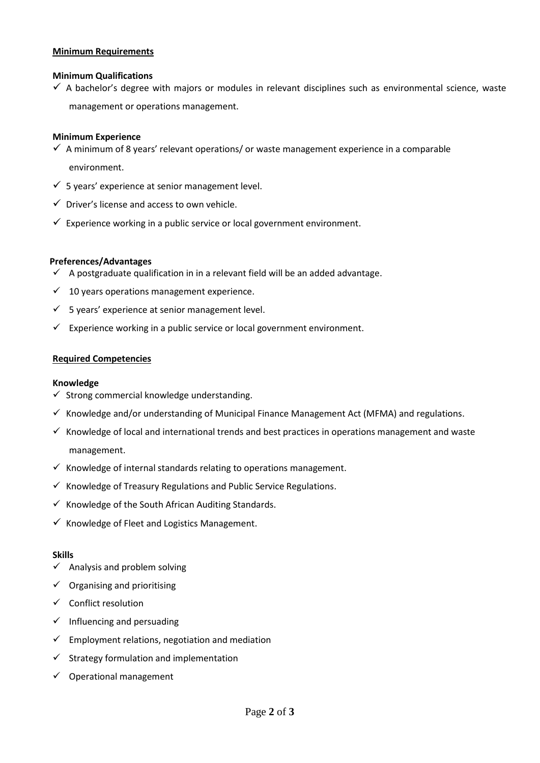#### **Minimum Requirements**

### **Minimum Qualifications**

 $\checkmark$  A bachelor's degree with majors or modules in relevant disciplines such as environmental science, waste management or operations management.

### **Minimum Experience**

- $\checkmark$  A minimum of 8 years' relevant operations/ or waste management experience in a comparable environment.
- $\checkmark$  5 years' experience at senior management level.
- $\checkmark$  Driver's license and access to own vehicle.
- $\checkmark$  Experience working in a public service or local government environment.

### **Preferences/Advantages**

- $\checkmark$  A postgraduate qualification in in a relevant field will be an added advantage.
- $\checkmark$  10 years operations management experience.
- $\checkmark$  5 years' experience at senior management level.
- $\checkmark$  Experience working in a public service or local government environment.

### **Required Competencies**

#### **Knowledge**

- $\checkmark$  Strong commercial knowledge understanding.
- $\checkmark$  Knowledge and/or understanding of Municipal Finance Management Act (MFMA) and regulations.
- $\checkmark$  Knowledge of local and international trends and best practices in operations management and waste management.
- $\checkmark$  Knowledge of internal standards relating to operations management.
- $\checkmark$  Knowledge of Treasury Regulations and Public Service Regulations.
- $\checkmark$  Knowledge of the South African Auditing Standards.
- $\checkmark$  Knowledge of Fleet and Logistics Management.

#### **Skills**

- $\checkmark$  Analysis and problem solving
- $\checkmark$  Organising and prioritising
- $\checkmark$  Conflict resolution
- $\checkmark$  Influencing and persuading
- $\checkmark$  Employment relations, negotiation and mediation
- $\checkmark$  Strategy formulation and implementation
- $\checkmark$  Operational management